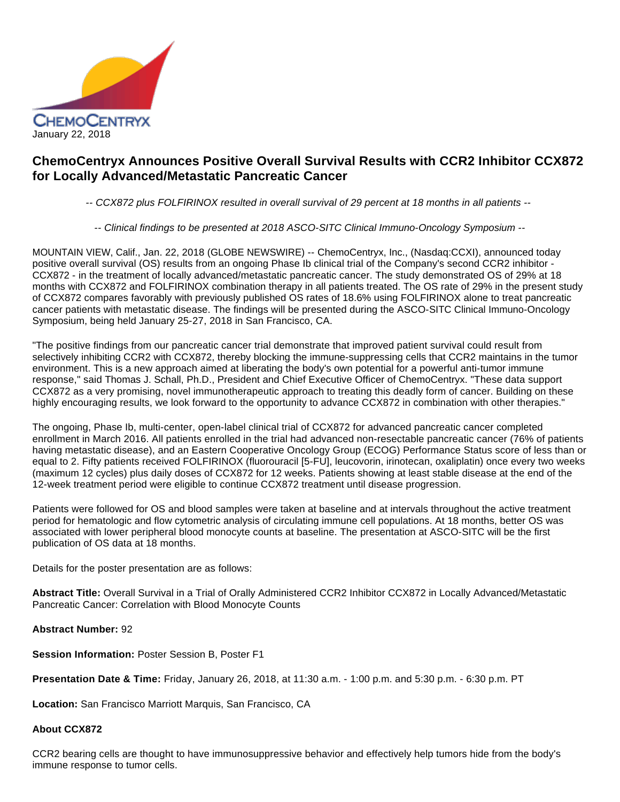

# **ChemoCentryx Announces Positive Overall Survival Results with CCR2 Inhibitor CCX872 for Locally Advanced/Metastatic Pancreatic Cancer**

-- CCX872 plus FOLFIRINOX resulted in overall survival of 29 percent at 18 months in all patients --

-- Clinical findings to be presented at 2018 ASCO-SITC Clinical Immuno-Oncology Symposium --

MOUNTAIN VIEW, Calif., Jan. 22, 2018 (GLOBE NEWSWIRE) -- ChemoCentryx, Inc., (Nasdaq:CCXI), announced today positive overall survival (OS) results from an ongoing Phase Ib clinical trial of the Company's second CCR2 inhibitor - CCX872 - in the treatment of locally advanced/metastatic pancreatic cancer. The study demonstrated OS of 29% at 18 months with CCX872 and FOLFIRINOX combination therapy in all patients treated. The OS rate of 29% in the present study of CCX872 compares favorably with previously published OS rates of 18.6% using FOLFIRINOX alone to treat pancreatic cancer patients with metastatic disease. The findings will be presented during the ASCO-SITC Clinical Immuno-Oncology Symposium, being held January 25-27, 2018 in San Francisco, CA.

"The positive findings from our pancreatic cancer trial demonstrate that improved patient survival could result from selectively inhibiting CCR2 with CCX872, thereby blocking the immune-suppressing cells that CCR2 maintains in the tumor environment. This is a new approach aimed at liberating the body's own potential for a powerful anti-tumor immune response," said Thomas J. Schall, Ph.D., President and Chief Executive Officer of ChemoCentryx. "These data support CCX872 as a very promising, novel immunotherapeutic approach to treating this deadly form of cancer. Building on these highly encouraging results, we look forward to the opportunity to advance CCX872 in combination with other therapies."

The ongoing, Phase Ib, multi-center, open-label clinical trial of CCX872 for advanced pancreatic cancer completed enrollment in March 2016. All patients enrolled in the trial had advanced non-resectable pancreatic cancer (76% of patients having metastatic disease), and an Eastern Cooperative Oncology Group (ECOG) Performance Status score of less than or equal to 2. Fifty patients received FOLFIRINOX (fluorouracil [5-FU], leucovorin, irinotecan, oxaliplatin) once every two weeks (maximum 12 cycles) plus daily doses of CCX872 for 12 weeks. Patients showing at least stable disease at the end of the 12-week treatment period were eligible to continue CCX872 treatment until disease progression.

Patients were followed for OS and blood samples were taken at baseline and at intervals throughout the active treatment period for hematologic and flow cytometric analysis of circulating immune cell populations. At 18 months, better OS was associated with lower peripheral blood monocyte counts at baseline. The presentation at ASCO-SITC will be the first publication of OS data at 18 months.

Details for the poster presentation are as follows:

**Abstract Title:** Overall Survival in a Trial of Orally Administered CCR2 Inhibitor CCX872 in Locally Advanced/Metastatic Pancreatic Cancer: Correlation with Blood Monocyte Counts

**Abstract Number:** 92

**Session Information:** Poster Session B, Poster F1

**Presentation Date & Time:** Friday, January 26, 2018, at 11:30 a.m. - 1:00 p.m. and 5:30 p.m. - 6:30 p.m. PT

**Location:** San Francisco Marriott Marquis, San Francisco, CA

## **About CCX872**

CCR2 bearing cells are thought to have immunosuppressive behavior and effectively help tumors hide from the body's immune response to tumor cells.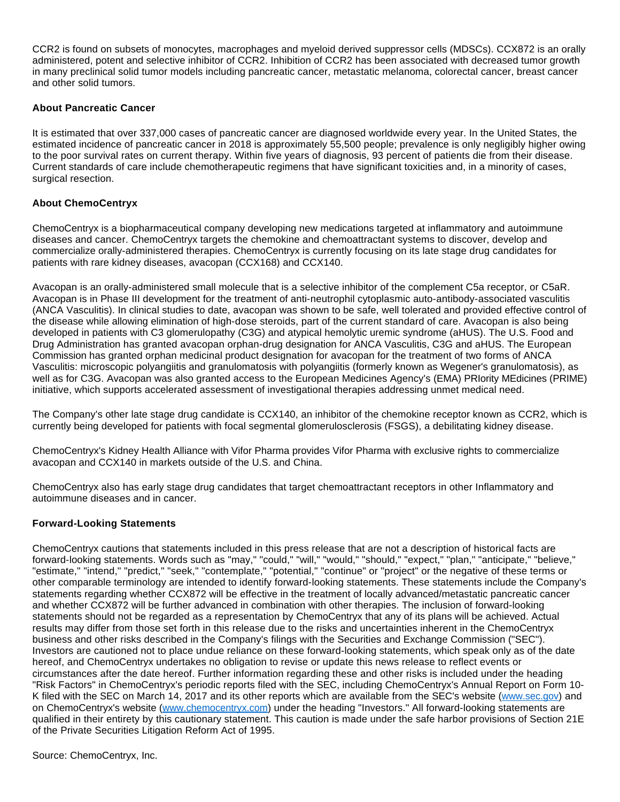CCR2 is found on subsets of monocytes, macrophages and myeloid derived suppressor cells (MDSCs). CCX872 is an orally administered, potent and selective inhibitor of CCR2. Inhibition of CCR2 has been associated with decreased tumor growth in many preclinical solid tumor models including pancreatic cancer, metastatic melanoma, colorectal cancer, breast cancer and other solid tumors.

# **About Pancreatic Cancer**

It is estimated that over 337,000 cases of pancreatic cancer are diagnosed worldwide every year. In the United States, the estimated incidence of pancreatic cancer in 2018 is approximately 55,500 people; prevalence is only negligibly higher owing to the poor survival rates on current therapy. Within five years of diagnosis, 93 percent of patients die from their disease. Current standards of care include chemotherapeutic regimens that have significant toxicities and, in a minority of cases, surgical resection.

## **About ChemoCentryx**

ChemoCentryx is a biopharmaceutical company developing new medications targeted at inflammatory and autoimmune diseases and cancer. ChemoCentryx targets the chemokine and chemoattractant systems to discover, develop and commercialize orally-administered therapies. ChemoCentryx is currently focusing on its late stage drug candidates for patients with rare kidney diseases, avacopan (CCX168) and CCX140.

Avacopan is an orally-administered small molecule that is a selective inhibitor of the complement C5a receptor, or C5aR. Avacopan is in Phase III development for the treatment of anti-neutrophil cytoplasmic auto-antibody-associated vasculitis (ANCA Vasculitis). In clinical studies to date, avacopan was shown to be safe, well tolerated and provided effective control of the disease while allowing elimination of high-dose steroids, part of the current standard of care. Avacopan is also being developed in patients with C3 glomerulopathy (C3G) and atypical hemolytic uremic syndrome (aHUS). The U.S. Food and Drug Administration has granted avacopan orphan-drug designation for ANCA Vasculitis, C3G and aHUS. The European Commission has granted orphan medicinal product designation for avacopan for the treatment of two forms of ANCA Vasculitis: microscopic polyangiitis and granulomatosis with polyangiitis (formerly known as Wegener's granulomatosis), as well as for C3G. Avacopan was also granted access to the European Medicines Agency's (EMA) PRIority MEdicines (PRIME) initiative, which supports accelerated assessment of investigational therapies addressing unmet medical need.

The Company's other late stage drug candidate is CCX140, an inhibitor of the chemokine receptor known as CCR2, which is currently being developed for patients with focal segmental glomerulosclerosis (FSGS), a debilitating kidney disease.

ChemoCentryx's Kidney Health Alliance with Vifor Pharma provides Vifor Pharma with exclusive rights to commercialize avacopan and CCX140 in markets outside of the U.S. and China.

ChemoCentryx also has early stage drug candidates that target chemoattractant receptors in other Inflammatory and autoimmune diseases and in cancer.

## **Forward-Looking Statements**

ChemoCentryx cautions that statements included in this press release that are not a description of historical facts are forward-looking statements. Words such as "may," "could," "will," "would," "should," "expect," "plan," "anticipate," "believe," "estimate," "intend," "predict," "seek," "contemplate," "potential," "continue" or "project" or the negative of these terms or other comparable terminology are intended to identify forward-looking statements. These statements include the Company's statements regarding whether CCX872 will be effective in the treatment of locally advanced/metastatic pancreatic cancer and whether CCX872 will be further advanced in combination with other therapies. The inclusion of forward-looking statements should not be regarded as a representation by ChemoCentryx that any of its plans will be achieved. Actual results may differ from those set forth in this release due to the risks and uncertainties inherent in the ChemoCentryx business and other risks described in the Company's filings with the Securities and Exchange Commission ("SEC"). Investors are cautioned not to place undue reliance on these forward-looking statements, which speak only as of the date hereof, and ChemoCentryx undertakes no obligation to revise or update this news release to reflect events or circumstances after the date hereof. Further information regarding these and other risks is included under the heading "Risk Factors" in ChemoCentryx's periodic reports filed with the SEC, including ChemoCentryx's Annual Report on Form 10 K filed with the SEC on March 14, 2017 and its other reports which are available from the SEC's website ([www.sec.gov\)](http://www.sec.gov/) and on ChemoCentryx's website ([www.chemocentryx.com\)](http://www.chemocentryx.com/) under the heading "Investors." All forward-looking statements are qualified in their entirety by this cautionary statement. This caution is made under the safe harbor provisions of Section 21E of the Private Securities Litigation Reform Act of 1995.

Source: ChemoCentryx, Inc.